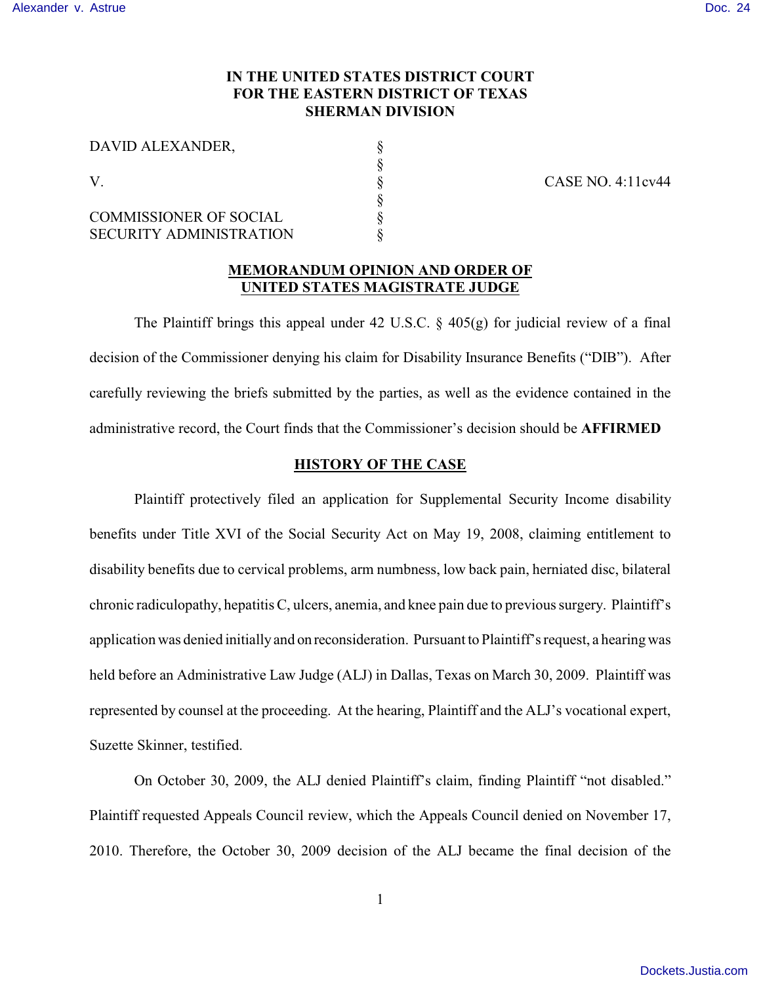## **IN THE UNITED STATES DISTRICT COURT FOR THE EASTERN DISTRICT OF TEXAS SHERMAN DIVISION**

| DAVID ALEXANDER,<br>V          |  |
|--------------------------------|--|
|                                |  |
|                                |  |
|                                |  |
| <b>COMMISSIONER OF SOCIAL</b>  |  |
| <b>SECURITY ADMINISTRATION</b> |  |

V. § CASE NO. 4:11cv44

#### **MEMORANDUM OPINION AND ORDER OF UNITED STATES MAGISTRATE JUDGE**

The Plaintiff brings this appeal under 42 U.S.C.  $\frac{6}{9}$  405(g) for judicial review of a final decision of the Commissioner denying his claim for Disability Insurance Benefits ("DIB"). After carefully reviewing the briefs submitted by the parties, as well as the evidence contained in the administrative record, the Court finds that the Commissioner's decision should be **AFFIRMED**

### **HISTORY OF THE CASE**

Plaintiff protectively filed an application for Supplemental Security Income disability benefits under Title XVI of the Social Security Act on May 19, 2008, claiming entitlement to disability benefits due to cervical problems, arm numbness, low back pain, herniated disc, bilateral chronic radiculopathy, hepatitis C, ulcers, anemia, and knee pain due to previous surgery. Plaintiff's application was denied initially and on reconsideration. Pursuant to Plaintiff's request, a hearing was held before an Administrative Law Judge (ALJ) in Dallas, Texas on March 30, 2009. Plaintiff was represented by counsel at the proceeding. At the hearing, Plaintiff and the ALJ's vocational expert, Suzette Skinner, testified.

On October 30, 2009, the ALJ denied Plaintiff's claim, finding Plaintiff "not disabled." Plaintiff requested Appeals Council review, which the Appeals Council denied on November 17, 2010. Therefore, the October 30, 2009 decision of the ALJ became the final decision of the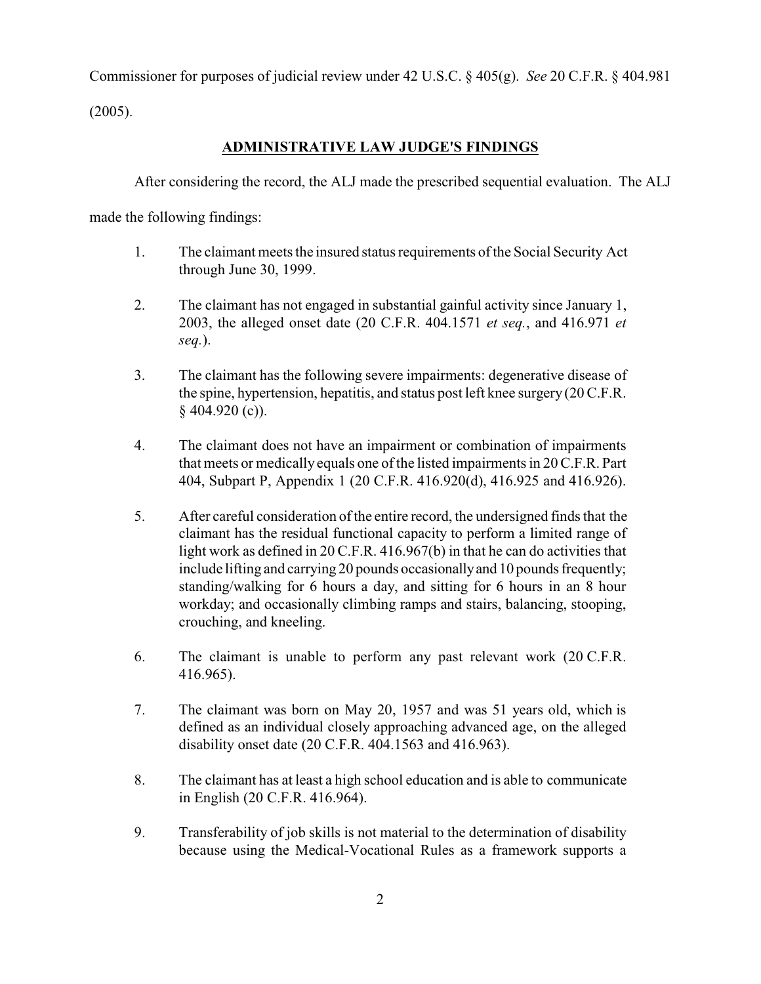Commissioner for purposes of judicial review under 42 U.S.C. § 405(g). *See* 20 C.F.R. § 404.981

(2005).

# **ADMINISTRATIVE LAW JUDGE'S FINDINGS**

After considering the record, the ALJ made the prescribed sequential evaluation. The ALJ

made the following findings:

- 1. The claimant meets the insured status requirements of the Social Security Act through June 30, 1999.
- 2. The claimant has not engaged in substantial gainful activity since January 1, 2003, the alleged onset date (20 C.F.R. 404.1571 *et seq.*, and 416.971 *et seq.*).
- 3. The claimant has the following severe impairments: degenerative disease of the spine, hypertension, hepatitis, and status post left knee surgery (20 C.F.R.  $§$  404.920 (c)).
- 4. The claimant does not have an impairment or combination of impairments that meets or medically equals one of the listed impairments in 20 C.F.R. Part 404, Subpart P, Appendix 1 (20 C.F.R. 416.920(d), 416.925 and 416.926).
- 5. After careful consideration of the entire record, the undersigned finds that the claimant has the residual functional capacity to perform a limited range of light work as defined in 20 C.F.R. 416.967(b) in that he can do activities that include lifting and carrying 20 pounds occasionally and 10 pounds frequently; standing/walking for 6 hours a day, and sitting for 6 hours in an 8 hour workday; and occasionally climbing ramps and stairs, balancing, stooping, crouching, and kneeling.
- 6. The claimant is unable to perform any past relevant work (20 C.F.R. 416.965).
- 7. The claimant was born on May 20, 1957 and was 51 years old, which is defined as an individual closely approaching advanced age, on the alleged disability onset date (20 C.F.R. 404.1563 and 416.963).
- 8. The claimant has at least a high school education and is able to communicate in English (20 C.F.R. 416.964).
- 9. Transferability of job skills is not material to the determination of disability because using the Medical-Vocational Rules as a framework supports a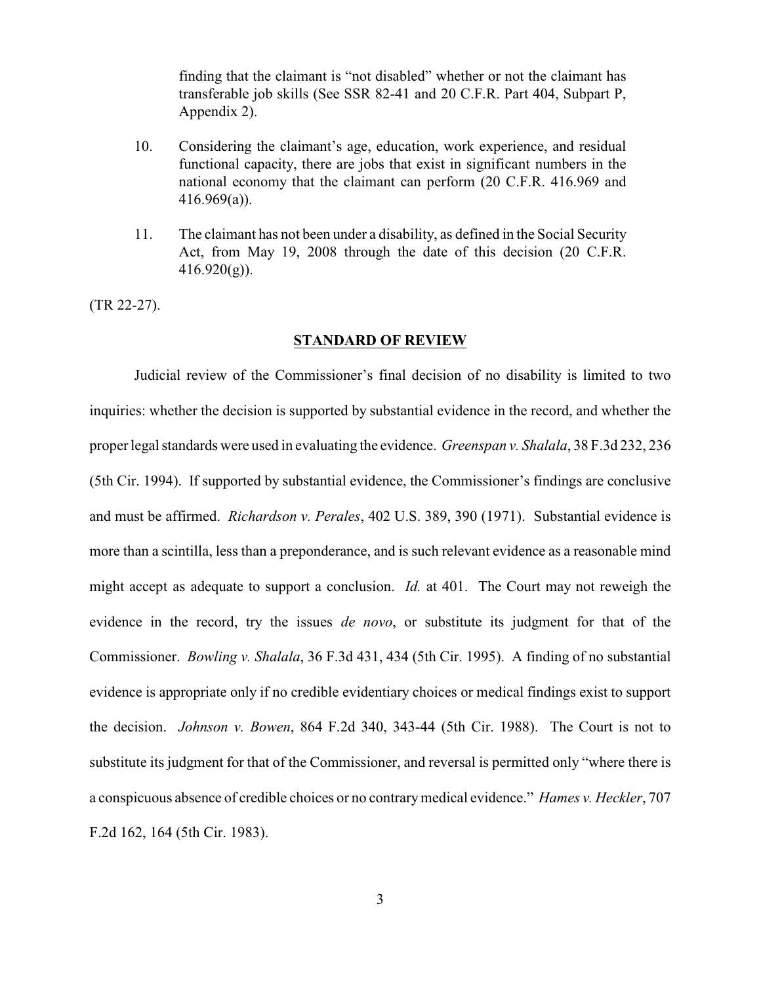finding that the claimant is "not disabled" whether or not the claimant has transferable job skills (See SSR 82-41 and 20 C.F.R. Part 404, Subpart P, Appendix 2).

- 10. Considering the claimant's age, education, work experience, and residual functional capacity, there are jobs that exist in significant numbers in the national economy that the claimant can perform (20 C.F.R. 416.969 and 416.969(a)).
- 11. The claimant has not been under a disability, as defined in the Social Security Act, from May 19, 2008 through the date of this decision (20 C.F.R.  $416.920(g)$ ).

(TR 22-27).

#### **STANDARD OF REVIEW**

Judicial review of the Commissioner's final decision of no disability is limited to two inquiries: whether the decision is supported by substantial evidence in the record, and whether the proper legal standards were used in evaluating the evidence. *Greenspan v. Shalala*, 38 F.3d 232, 236 (5th Cir. 1994). If supported by substantial evidence, the Commissioner's findings are conclusive and must be affirmed. *Richardson v. Perales*, 402 U.S. 389, 390 (1971). Substantial evidence is more than a scintilla, less than a preponderance, and is such relevant evidence as a reasonable mind might accept as adequate to support a conclusion. *Id.* at 401. The Court may not reweigh the evidence in the record, try the issues *de novo*, or substitute its judgment for that of the Commissioner. *Bowling v. Shalala*, 36 F.3d 431, 434 (5th Cir. 1995). A finding of no substantial evidence is appropriate only if no credible evidentiary choices or medical findings exist to support the decision. *Johnson v. Bowen*, 864 F.2d 340, 343-44 (5th Cir. 1988). The Court is not to substitute its judgment for that of the Commissioner, and reversal is permitted only "where there is a conspicuous absence of credible choices or no contrarymedical evidence." *Hames v. Heckler*, 707 F.2d 162, 164 (5th Cir. 1983).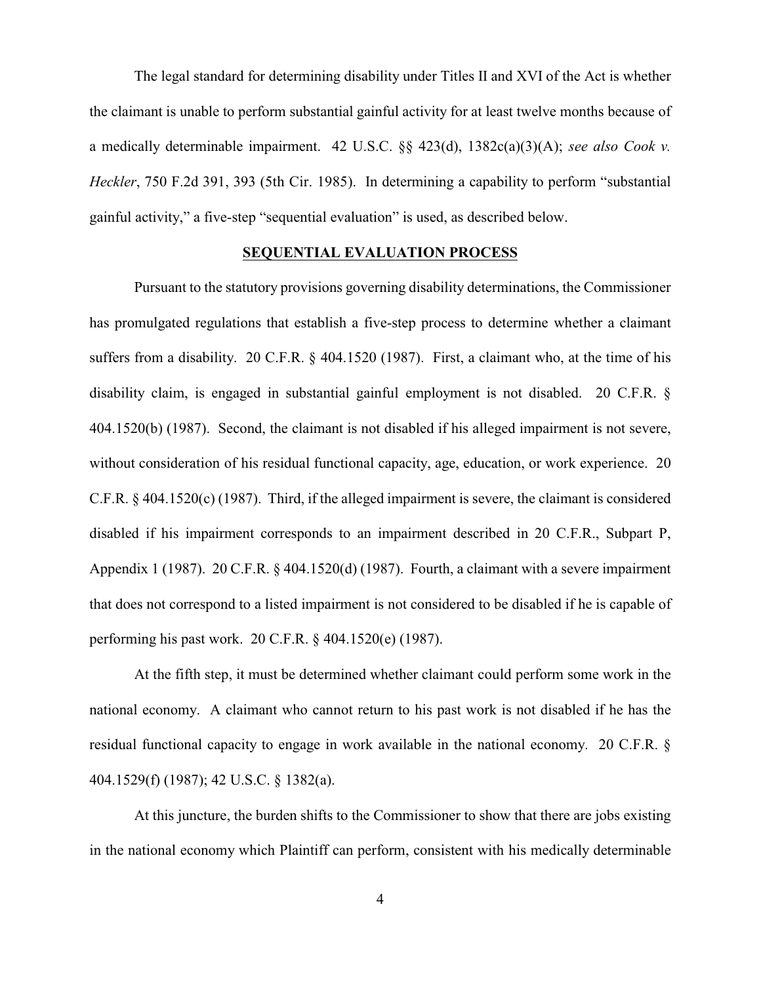The legal standard for determining disability under Titles II and XVI of the Act is whether the claimant is unable to perform substantial gainful activity for at least twelve months because of a medically determinable impairment. 42 U.S.C. §§ 423(d), 1382c(a)(3)(A); *see also Cook v. Heckler*, 750 F.2d 391, 393 (5th Cir. 1985). In determining a capability to perform "substantial gainful activity," a five-step "sequential evaluation" is used, as described below.

#### **SEQUENTIAL EVALUATION PROCESS**

Pursuant to the statutory provisions governing disability determinations, the Commissioner has promulgated regulations that establish a five-step process to determine whether a claimant suffers from a disability. 20 C.F.R. § 404.1520 (1987). First, a claimant who, at the time of his disability claim, is engaged in substantial gainful employment is not disabled. 20 C.F.R. § 404.1520(b) (1987). Second, the claimant is not disabled if his alleged impairment is not severe, without consideration of his residual functional capacity, age, education, or work experience. 20 C.F.R. § 404.1520(c) (1987). Third, if the alleged impairment is severe, the claimant is considered disabled if his impairment corresponds to an impairment described in 20 C.F.R., Subpart P, Appendix 1 (1987). 20 C.F.R. § 404.1520(d) (1987). Fourth, a claimant with a severe impairment that does not correspond to a listed impairment is not considered to be disabled if he is capable of performing his past work. 20 C.F.R. § 404.1520(e) (1987).

At the fifth step, it must be determined whether claimant could perform some work in the national economy. A claimant who cannot return to his past work is not disabled if he has the residual functional capacity to engage in work available in the national economy. 20 C.F.R. § 404.1529(f) (1987); 42 U.S.C. § 1382(a).

At this juncture, the burden shifts to the Commissioner to show that there are jobs existing in the national economy which Plaintiff can perform, consistent with his medically determinable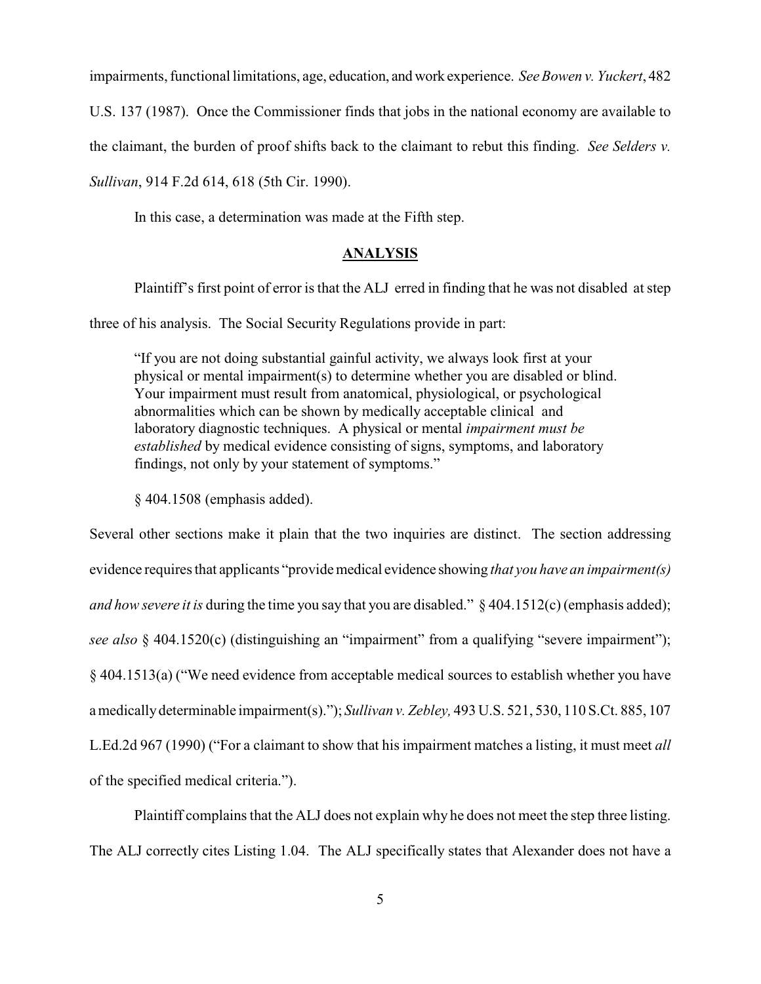impairments, functional limitations, age, education, and work experience. *See Bowen v. Yuckert*, 482

U.S. 137 (1987). Once the Commissioner finds that jobs in the national economy are available to

the claimant, the burden of proof shifts back to the claimant to rebut this finding. *See Selders v.*

*Sullivan*, 914 F.2d 614, 618 (5th Cir. 1990).

In this case, a determination was made at the Fifth step.

#### **ANALYSIS**

Plaintiff's first point of error is that the ALJ erred in finding that he was not disabled at step

three of his analysis. The Social Security Regulations provide in part:

"If you are not doing substantial gainful activity, we always look first at your physical or mental impairment(s) to determine whether you are disabled or blind. Your impairment must result from anatomical, physiological, or psychological abnormalities which can be shown by medically acceptable clinical and laboratory diagnostic techniques. A physical or mental *impairment must be established* by medical evidence consisting of signs, symptoms, and laboratory findings, not only by your statement of symptoms."

§ 404.1508 (emphasis added).

Several other sections make it plain that the two inquiries are distinct. The section addressing evidence requires that applicants "provide medical evidence showing *that you have an impairment(s) and how severe it is* during the time you say that you are disabled." § 404.1512(c) (emphasis added); *see also* § 404.1520(c) (distinguishing an "impairment" from a qualifying "severe impairment"); § 404.1513(a) ("We need evidence from acceptable medical sources to establish whether you have a medically determinable impairment(s)."); *Sullivan v. Zebley,* 493 U.S. 521, 530, 110 S.Ct. 885, 107 L.Ed.2d 967 (1990) ("For a claimant to show that hisimpairment matches a listing, it must meet *all* of the specified medical criteria.").

Plaintiff complains that the ALJ does not explain why he does not meet the step three listing. The ALJ correctly cites Listing 1.04. The ALJ specifically states that Alexander does not have a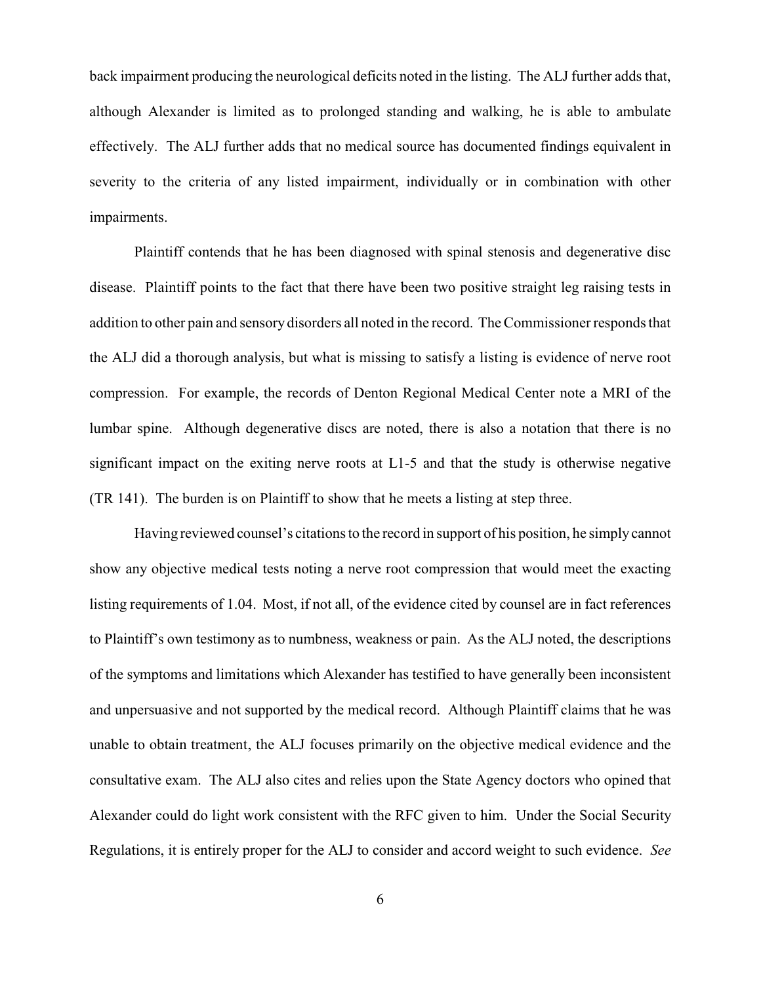back impairment producing the neurological deficits noted in the listing. The ALJ further adds that, although Alexander is limited as to prolonged standing and walking, he is able to ambulate effectively. The ALJ further adds that no medical source has documented findings equivalent in severity to the criteria of any listed impairment, individually or in combination with other impairments.

Plaintiff contends that he has been diagnosed with spinal stenosis and degenerative disc disease. Plaintiff points to the fact that there have been two positive straight leg raising tests in addition to other pain and sensory disorders all noted in the record. The Commissioner responds that the ALJ did a thorough analysis, but what is missing to satisfy a listing is evidence of nerve root compression. For example, the records of Denton Regional Medical Center note a MRI of the lumbar spine. Although degenerative discs are noted, there is also a notation that there is no significant impact on the exiting nerve roots at L1-5 and that the study is otherwise negative (TR 141). The burden is on Plaintiff to show that he meets a listing at step three.

Having reviewed counsel's citations to the record in support of his position, he simply cannot show any objective medical tests noting a nerve root compression that would meet the exacting listing requirements of 1.04. Most, if not all, of the evidence cited by counsel are in fact references to Plaintiff's own testimony as to numbness, weakness or pain. As the ALJ noted, the descriptions of the symptoms and limitations which Alexander has testified to have generally been inconsistent and unpersuasive and not supported by the medical record. Although Plaintiff claims that he was unable to obtain treatment, the ALJ focuses primarily on the objective medical evidence and the consultative exam. The ALJ also cites and relies upon the State Agency doctors who opined that Alexander could do light work consistent with the RFC given to him. Under the Social Security Regulations, it is entirely proper for the ALJ to consider and accord weight to such evidence. *See*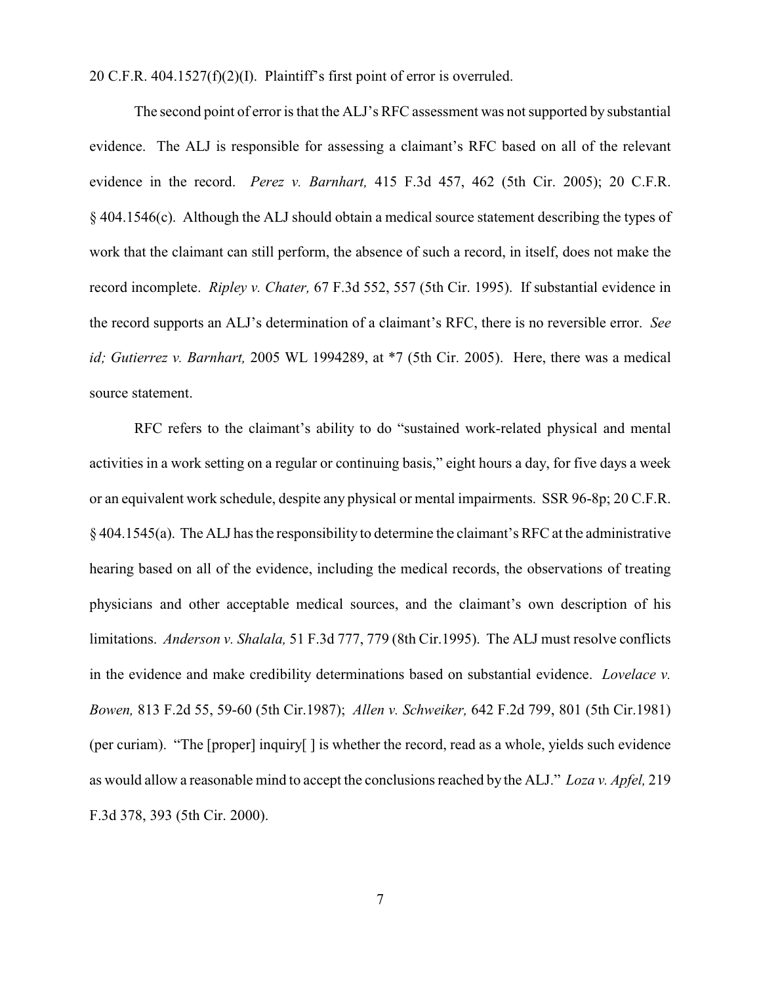20 C.F.R. 404.1527(f)(2)(I). Plaintiff's first point of error is overruled.

The second point of error is that the ALJ's RFC assessment was not supported by substantial evidence. The ALJ is responsible for assessing a claimant's RFC based on all of the relevant evidence in the record. *Perez v. Barnhart,* 415 F.3d 457, 462 (5th Cir. 2005); 20 C.F.R. § 404.1546(c). Although the ALJ should obtain a medical source statement describing the types of work that the claimant can still perform, the absence of such a record, in itself, does not make the record incomplete. *Ripley v. Chater,* 67 F.3d 552, 557 (5th Cir. 1995). If substantial evidence in the record supports an ALJ's determination of a claimant's RFC, there is no reversible error. *See id; Gutierrez v. Barnhart,* 2005 WL 1994289, at \*7 (5th Cir. 2005). Here, there was a medical source statement.

RFC refers to the claimant's ability to do "sustained work-related physical and mental activities in a work setting on a regular or continuing basis," eight hours a day, for five days a week or an equivalent work schedule, despite any physical or mental impairments. SSR 96-8p; 20 C.F.R. § 404.1545(a). The ALJ has the responsibility to determine the claimant's RFC at the administrative hearing based on all of the evidence, including the medical records, the observations of treating physicians and other acceptable medical sources, and the claimant's own description of his limitations. *Anderson v. Shalala,* 51 F.3d 777, 779 (8th Cir.1995). The ALJ must resolve conflicts in the evidence and make credibility determinations based on substantial evidence. *Lovelace v. Bowen,* 813 F.2d 55, 59-60 (5th Cir.1987); *Allen v. Schweiker,* 642 F.2d 799, 801 (5th Cir.1981) (per curiam). "The [proper] inquiry[ ] is whether the record, read as a whole, yields such evidence as would allow a reasonable mind to accept the conclusions reached by the ALJ." *Loza v. Apfel,* 219 F.3d 378, 393 (5th Cir. 2000).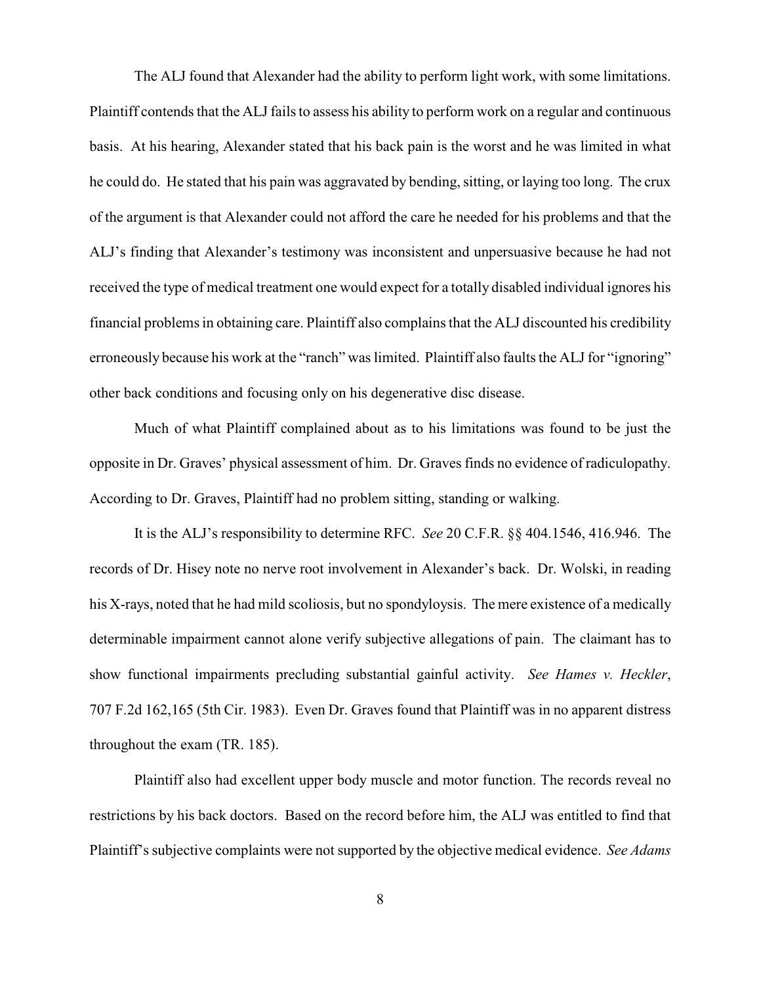The ALJ found that Alexander had the ability to perform light work, with some limitations. Plaintiff contends that the ALJfails to assess his ability to perform work on a regular and continuous basis. At his hearing, Alexander stated that his back pain is the worst and he was limited in what he could do. He stated that his pain was aggravated by bending, sitting, or laying too long. The crux of the argument is that Alexander could not afford the care he needed for his problems and that the ALJ's finding that Alexander's testimony was inconsistent and unpersuasive because he had not received the type of medical treatment one would expect for a totally disabled individual ignores his financial problems in obtaining care. Plaintiff also complains that the ALJ discounted his credibility erroneously because his work at the "ranch" was limited. Plaintiff also faults the ALJ for "ignoring" other back conditions and focusing only on his degenerative disc disease.

Much of what Plaintiff complained about as to his limitations was found to be just the opposite in Dr. Graves' physical assessment of him. Dr. Graves finds no evidence of radiculopathy. According to Dr. Graves, Plaintiff had no problem sitting, standing or walking.

It is the ALJ's responsibility to determine RFC. *See* 20 C.F.R. §§ 404.1546, 416.946. The records of Dr. Hisey note no nerve root involvement in Alexander's back. Dr. Wolski, in reading his X-rays, noted that he had mild scoliosis, but no spondyloysis. The mere existence of a medically determinable impairment cannot alone verify subjective allegations of pain. The claimant has to show functional impairments precluding substantial gainful activity. *See Hames v. Heckler*, 707 F.2d 162,165 (5th Cir. 1983). Even Dr. Graves found that Plaintiff was in no apparent distress throughout the exam (TR. 185).

Plaintiff also had excellent upper body muscle and motor function. The records reveal no restrictions by his back doctors. Based on the record before him, the ALJ was entitled to find that Plaintiff's subjective complaints were not supported by the objective medical evidence. *See Adams*